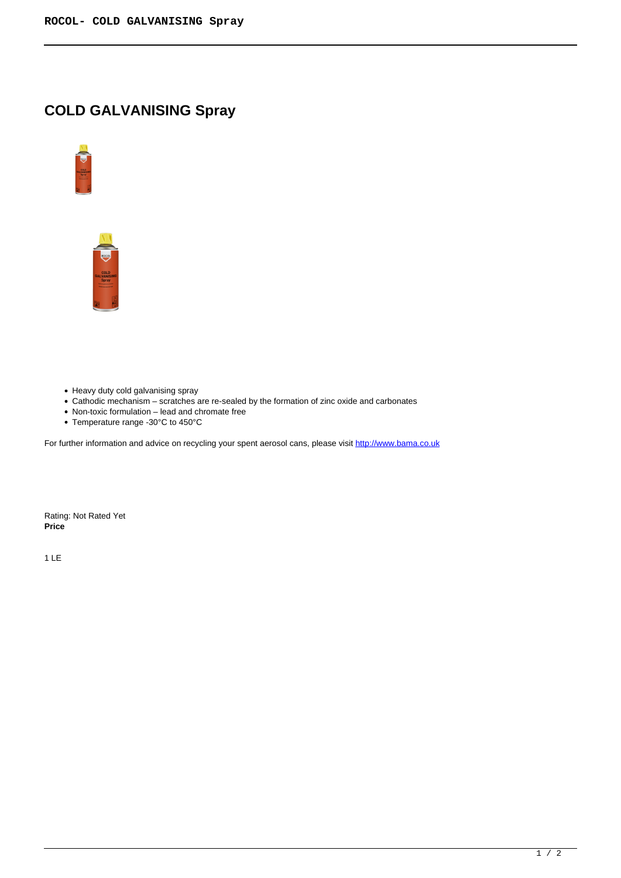## **COLD GALVANISING Spray**





- Heavy duty cold galvanising spray
- Cathodic mechanism scratches are re-sealed by the formation of zinc oxide and carbonates
- Non-toxic formulation lead and chromate free
- Temperature range -30°C to 450°C

For further information and advice on recycling your spent aerosol cans, please visit http://www.bama.co.uk

Rating: Not Rated Yet **Price** 

1 LE